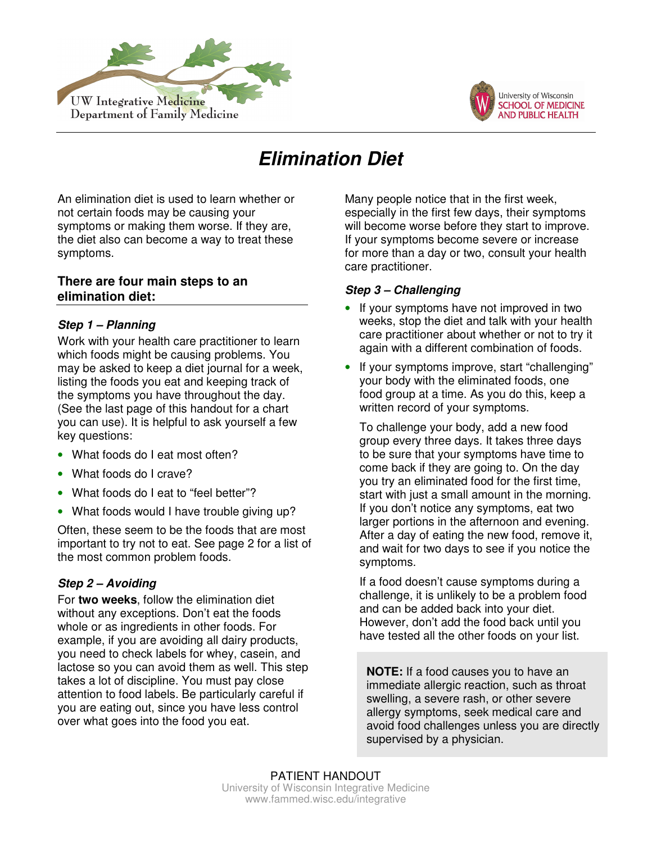



# **Elimination Diet**

An elimination diet is used to learn whether or not certain foods may be causing your symptoms or making them worse. If they are, the diet also can become a way to treat these symptoms.

# **There are four main steps to an elimination diet:**

# **Step 1 – Planning**

Work with your health care practitioner to learn which foods might be causing problems. You may be asked to keep a diet journal for a week, listing the foods you eat and keeping track of the symptoms you have throughout the day. (See the last page of this handout for a chart you can use). It is helpful to ask yourself a few key questions:

- What foods do I eat most often?
- What foods do I crave?
- What foods do I eat to "feel better"?
- What foods would I have trouble giving up?

Often, these seem to be the foods that are most important to try not to eat. See page 2 for a list of the most common problem foods.

# **Step 2 – Avoiding**

For **two weeks**, follow the elimination diet without any exceptions. Don't eat the foods whole or as ingredients in other foods. For example, if you are avoiding all dairy products, you need to check labels for whey, casein, and lactose so you can avoid them as well. This step takes a lot of discipline. You must pay close attention to food labels. Be particularly careful if you are eating out, since you have less control over what goes into the food you eat.

Many people notice that in the first week, especially in the first few days, their symptoms will become worse before they start to improve. If your symptoms become severe or increase for more than a day or two, consult your health care practitioner.

### **Step 3 – Challenging**

- If your symptoms have not improved in two weeks, stop the diet and talk with your health care practitioner about whether or not to try it again with a different combination of foods.
- If your symptoms improve, start "challenging" your body with the eliminated foods, one food group at a time. As you do this, keep a written record of your symptoms.

To challenge your body, add a new food group every three days. It takes three days to be sure that your symptoms have time to come back if they are going to. On the day you try an eliminated food for the first time, start with just a small amount in the morning. If you don't notice any symptoms, eat two larger portions in the afternoon and evening. After a day of eating the new food, remove it, and wait for two days to see if you notice the symptoms.

If a food doesn't cause symptoms during a challenge, it is unlikely to be a problem food and can be added back into your diet. However, don't add the food back until you have tested all the other foods on your list.

 **NOTE:** If a food causes you to have an immediate allergic reaction, such as throat swelling, a severe rash, or other severe allergy symptoms, seek medical care and avoid food challenges unless you are directly supervised by a physician.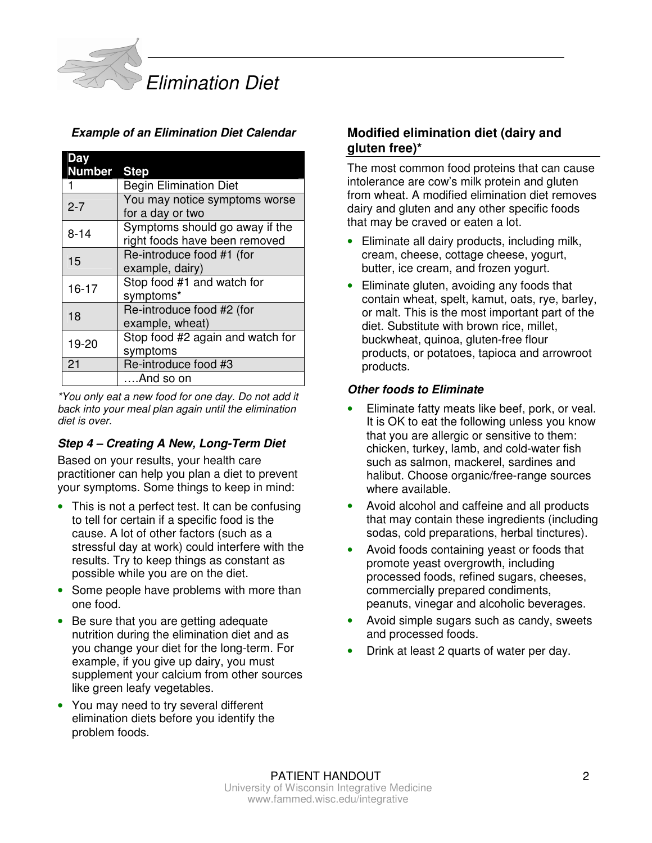

## **Example of an Elimination Diet Calendar**

| Day                |                                  |
|--------------------|----------------------------------|
| <b>Number Step</b> |                                  |
|                    | <b>Begin Elimination Diet</b>    |
| $2 - 7$            | You may notice symptoms worse    |
|                    | for a day or two                 |
| $8 - 14$           | Symptoms should go away if the   |
|                    | right foods have been removed    |
| 15                 | Re-introduce food #1 (for        |
|                    | example, dairy)                  |
| $16 - 17$          | Stop food #1 and watch for       |
|                    | symptoms*                        |
| 18                 | Re-introduce food #2 (for        |
|                    | example, wheat)                  |
| 19-20              | Stop food #2 again and watch for |
|                    | symptoms                         |
| 21                 | Re-introduce food #3             |
|                    | And so on                        |

\*You only eat a new food for one day. Do not add it back into your meal plan again until the elimination diet is over.

#### **Step 4 – Creating A New, Long-Term Diet**

Based on your results, your health care practitioner can help you plan a diet to prevent your symptoms. Some things to keep in mind:

- This is not a perfect test. It can be confusing to tell for certain if a specific food is the cause. A lot of other factors (such as a stressful day at work) could interfere with the results. Try to keep things as constant as possible while you are on the diet.
- Some people have problems with more than one food.
- Be sure that you are getting adequate nutrition during the elimination diet and as you change your diet for the long-term. For example, if you give up dairy, you must supplement your calcium from other sources like green leafy vegetables.
- You may need to try several different elimination diets before you identify the problem foods.

# **Modified elimination diet (dairy and gluten free)\***

The most common food proteins that can cause intolerance are cow's milk protein and gluten from wheat. A modified elimination diet removes dairy and gluten and any other specific foods that may be craved or eaten a lot.

- Eliminate all dairy products, including milk, cream, cheese, cottage cheese, yogurt, butter, ice cream, and frozen yogurt.
- Eliminate gluten, avoiding any foods that contain wheat, spelt, kamut, oats, rye, barley, or malt. This is the most important part of the diet. Substitute with brown rice, millet, buckwheat, quinoa, gluten-free flour products, or potatoes, tapioca and arrowroot products.

#### **Other foods to Eliminate**

- Eliminate fatty meats like beef, pork, or veal. It is OK to eat the following unless you know that you are allergic or sensitive to them: chicken, turkey, lamb, and cold-water fish such as salmon, mackerel, sardines and halibut. Choose organic/free-range sources where available.
- Avoid alcohol and caffeine and all products that may contain these ingredients (including sodas, cold preparations, herbal tinctures).
- Avoid foods containing yeast or foods that promote yeast overgrowth, including processed foods, refined sugars, cheeses, commercially prepared condiments, peanuts, vinegar and alcoholic beverages.
- Avoid simple sugars such as candy, sweets and processed foods.
- Drink at least 2 quarts of water per day.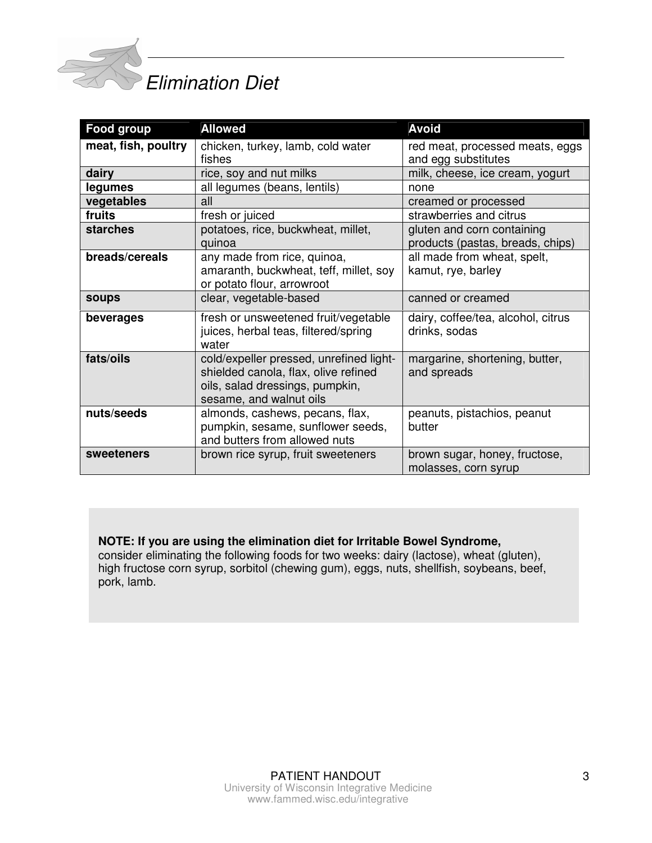

# Elimination Diet

| Food group          | <b>Allowed</b>                                                                                                                                | <b>Avoid</b>                                                   |  |  |
|---------------------|-----------------------------------------------------------------------------------------------------------------------------------------------|----------------------------------------------------------------|--|--|
| meat, fish, poultry | chicken, turkey, lamb, cold water<br>fishes                                                                                                   | red meat, processed meats, eggs<br>and egg substitutes         |  |  |
| dairy               | rice, soy and nut milks                                                                                                                       | milk, cheese, ice cream, yogurt                                |  |  |
| legumes             | all legumes (beans, lentils)                                                                                                                  | none                                                           |  |  |
| vegetables          | all                                                                                                                                           | creamed or processed                                           |  |  |
| fruits              | fresh or juiced                                                                                                                               | strawberries and citrus                                        |  |  |
| starches            | potatoes, rice, buckwheat, millet,<br>quinoa                                                                                                  | gluten and corn containing<br>products (pastas, breads, chips) |  |  |
| breads/cereals      | any made from rice, quinoa,<br>amaranth, buckwheat, teff, millet, soy<br>or potato flour, arrowroot                                           | all made from wheat, spelt,<br>kamut, rye, barley              |  |  |
| <b>soups</b>        | clear, vegetable-based                                                                                                                        | canned or creamed                                              |  |  |
| beverages           | fresh or unsweetened fruit/vegetable<br>juices, herbal teas, filtered/spring<br>water                                                         | dairy, coffee/tea, alcohol, citrus<br>drinks, sodas            |  |  |
| fats/oils           | cold/expeller pressed, unrefined light-<br>shielded canola, flax, olive refined<br>oils, salad dressings, pumpkin,<br>sesame, and walnut oils | margarine, shortening, butter,<br>and spreads                  |  |  |
| nuts/seeds          | almonds, cashews, pecans, flax,<br>pumpkin, sesame, sunflower seeds,<br>and butters from allowed nuts                                         | peanuts, pistachios, peanut<br>butter                          |  |  |
| sweeteners          | brown rice syrup, fruit sweeteners                                                                                                            | brown sugar, honey, fructose,<br>molasses, corn syrup          |  |  |

# **NOTE: If you are using the elimination diet for Irritable Bowel Syndrome,**

consider eliminating the following foods for two weeks: dairy (lactose), wheat (gluten), high fructose corn syrup, sorbitol (chewing gum), eggs, nuts, shellfish, soybeans, beef, pork, lamb.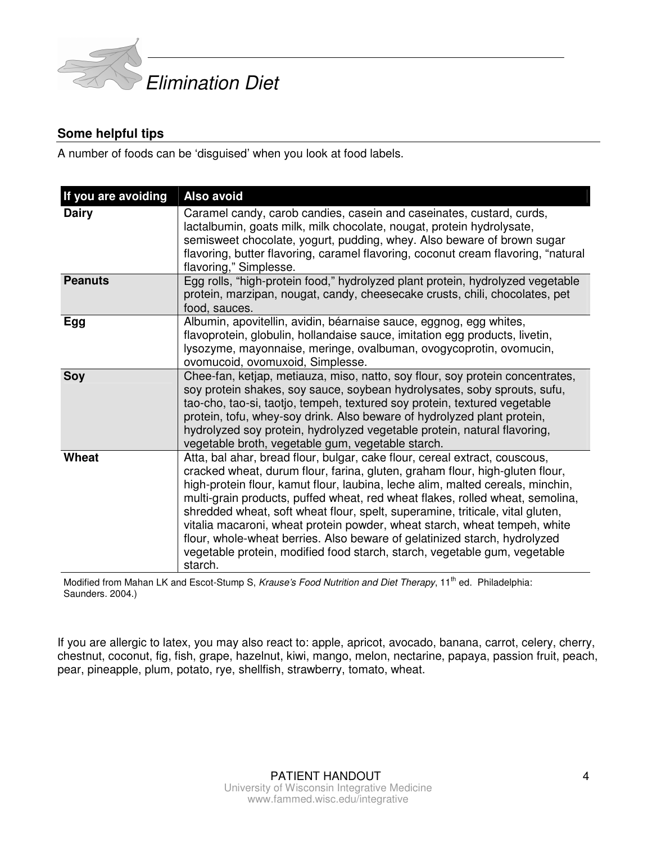

# **Some helpful tips**

A number of foods can be 'disguised' when you look at food labels.

| If you are avoiding | Also avoid                                                                                                                                                                                                                                                                                                                                                                                                                                                                                                                                                                                                                                                       |
|---------------------|------------------------------------------------------------------------------------------------------------------------------------------------------------------------------------------------------------------------------------------------------------------------------------------------------------------------------------------------------------------------------------------------------------------------------------------------------------------------------------------------------------------------------------------------------------------------------------------------------------------------------------------------------------------|
| <b>Dairy</b>        | Caramel candy, carob candies, casein and caseinates, custard, curds,<br>lactalbumin, goats milk, milk chocolate, nougat, protein hydrolysate,<br>semisweet chocolate, yogurt, pudding, whey. Also beware of brown sugar<br>flavoring, butter flavoring, caramel flavoring, coconut cream flavoring, "natural<br>flavoring," Simplesse.                                                                                                                                                                                                                                                                                                                           |
| <b>Peanuts</b>      | Egg rolls, "high-protein food," hydrolyzed plant protein, hydrolyzed vegetable<br>protein, marzipan, nougat, candy, cheesecake crusts, chili, chocolates, pet<br>food, sauces.                                                                                                                                                                                                                                                                                                                                                                                                                                                                                   |
| Egg                 | Albumin, apovitellin, avidin, béarnaise sauce, eggnog, egg whites,<br>flavoprotein, globulin, hollandaise sauce, imitation egg products, livetin,<br>lysozyme, mayonnaise, meringe, ovalbuman, ovogycoprotin, ovomucin,<br>ovomucoid, ovomuxoid, Simplesse.                                                                                                                                                                                                                                                                                                                                                                                                      |
| <b>Soy</b>          | Chee-fan, ketjap, metiauza, miso, natto, soy flour, soy protein concentrates,<br>soy protein shakes, soy sauce, soybean hydrolysates, soby sprouts, sufu,<br>tao-cho, tao-si, taotjo, tempeh, textured soy protein, textured vegetable<br>protein, tofu, whey-soy drink. Also beware of hydrolyzed plant protein,<br>hydrolyzed soy protein, hydrolyzed vegetable protein, natural flavoring,<br>vegetable broth, vegetable gum, vegetable starch.                                                                                                                                                                                                               |
| Wheat               | Atta, bal ahar, bread flour, bulgar, cake flour, cereal extract, couscous,<br>cracked wheat, durum flour, farina, gluten, graham flour, high-gluten flour,<br>high-protein flour, kamut flour, laubina, leche alim, malted cereals, minchin,<br>multi-grain products, puffed wheat, red wheat flakes, rolled wheat, semolina,<br>shredded wheat, soft wheat flour, spelt, superamine, triticale, vital gluten,<br>vitalia macaroni, wheat protein powder, wheat starch, wheat tempeh, white<br>flour, whole-wheat berries. Also beware of gelatinized starch, hydrolyzed<br>vegetable protein, modified food starch, starch, vegetable gum, vegetable<br>starch. |

Modified from Mahan LK and Escot-Stump S, Krause's Food Nutrition and Diet Therapy, 11<sup>th</sup> ed. Philadelphia: Saunders. 2004.)

If you are allergic to latex, you may also react to: apple, apricot, avocado, banana, carrot, celery, cherry, chestnut, coconut, fig, fish, grape, hazelnut, kiwi, mango, melon, nectarine, papaya, passion fruit, peach, pear, pineapple, plum, potato, rye, shellfish, strawberry, tomato, wheat.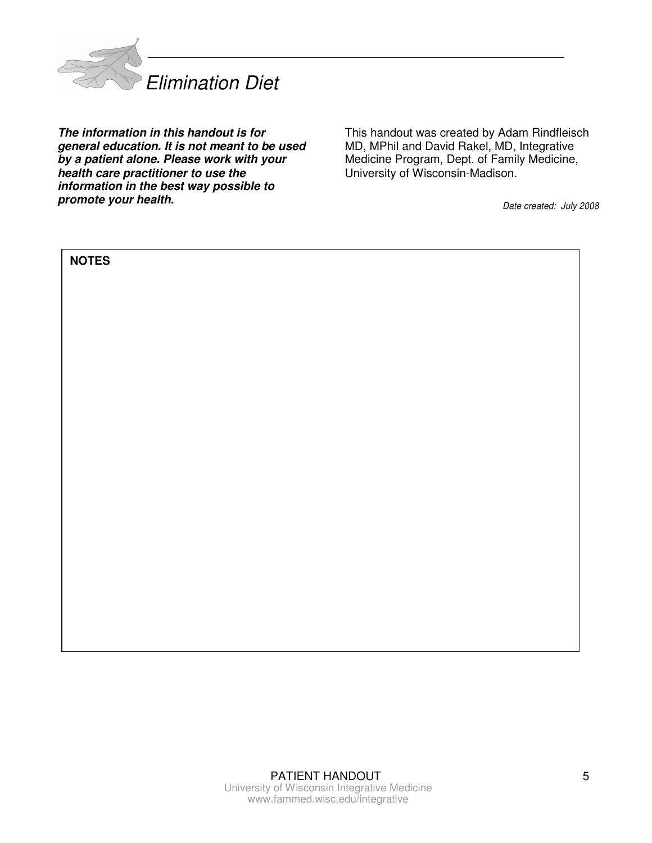

**The information in this handout is for general education. It is not meant to be used by a patient alone. Please work with your health care practitioner to use the information in the best way possible to promote your health.**

This handout was created by Adam Rindfleisch MD, MPhil and David Rakel, MD, Integrative Medicine Program, Dept. of Family Medicine, University of Wisconsin-Madison.

Date created: July 2008

| <b>NOTES</b> |  |
|--------------|--|
|              |  |
|              |  |
|              |  |
|              |  |
|              |  |
|              |  |
|              |  |
|              |  |
|              |  |
|              |  |
|              |  |
|              |  |
|              |  |
|              |  |
|              |  |
|              |  |
|              |  |